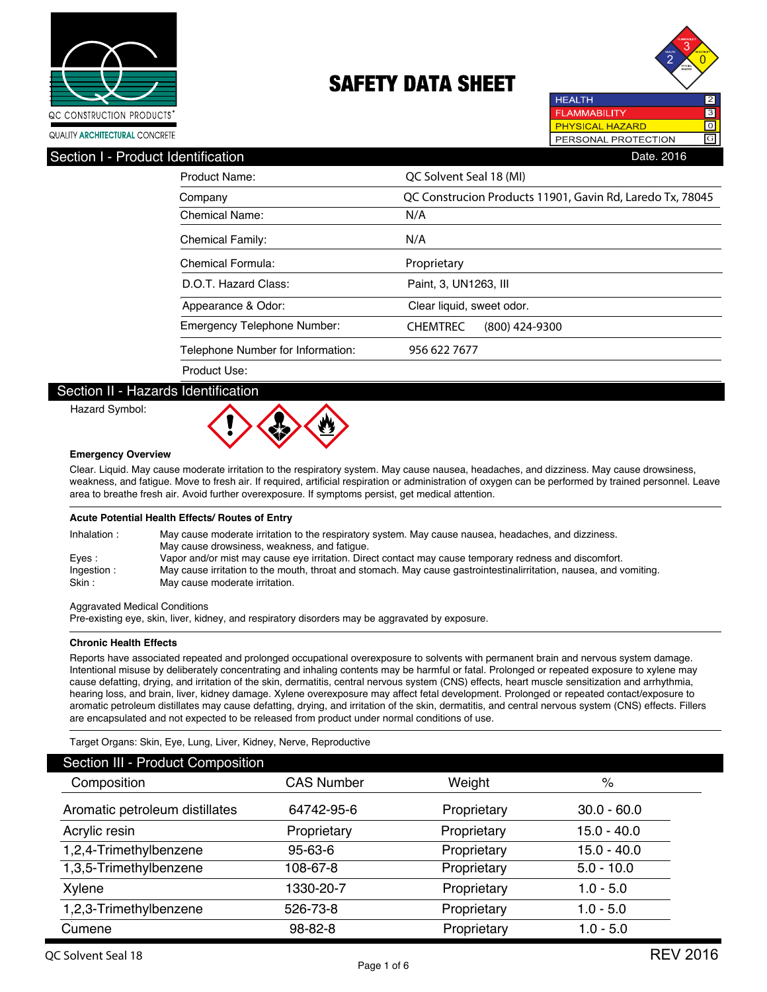



QUALITY ARCHITECTURAL CONCRETE

## Product Name: **QC Solvent Seal 18 (MI)** Chemical Name: **N/A** Chemical Family: **N/A** Chemical Formula: **Proprietary** Emergency Telephone Number: **CHEMTREC (800) 424-9300** T elephone Number for Information: D.O.T. Hazard Class: Appearance & Odor: Paint, 3, UN1263, III Clear liquid, sweet odor. 956 622 7677 Product Use: Company **QC Construcion Products 11901, Gavin Rd, Laredo Tx, 78045** Section I - Product Identification **Date. 2016** Contract in the Section Date. 2016

### Section II - Hazards Identification

Hazard Symbol:



#### **Emergency Overview**

Clear. Liquid. May cause moderate irritation to the respiratory system. May cause nausea, headaches, and dizziness. May cause drowsiness, weakness, and fatigue. Move to fresh air. If required, artificial respiration or administration of oxygen can be performed by trained personnel. Leave area to breathe fresh air. Avoid further overexposure. If symptoms persist, get medical attention.

#### **Acute Potential Health Effects/ Routes of Entry**

| Inhalation: | May cause moderate irritation to the respiratory system. May cause nausea, headaches, and dizziness.               |
|-------------|--------------------------------------------------------------------------------------------------------------------|
|             | May cause drowsiness, weakness, and fatique.                                                                       |
| Eves :      | Vapor and/or mist may cause eye irritation. Direct contact may cause temporary redness and discomfort.             |
| Ingestion:  | May cause irritation to the mouth, throat and stomach. May cause gastrointestinalirritation, nausea, and vomiting. |
| Skin:       | May cause moderate irritation.                                                                                     |

Aggravated Medical Conditions

Pre-existing eye, skin, liver, kidney, and respiratory disorders may be aggravated by exposure.

#### **Chronic Health Effects**

Reports have associated repeated and prolonged occupational overexposure to solvents with permanent brain and nervous system damage. Intentional misuse by deliberately concentrating and inhaling contents may be harmful or fatal. Prolonged or repeated exposure to xylene may cause defatting, drying, and irritation of the skin, dermatitis, central nervous system (CNS) effects, heart muscle sensitization and arrhythmia, hearing loss, and brain, liver, kidney damage. Xylene overexposure may affect fetal development. Prolonged or repeated contact/exposure to aromatic petroleum distillates may cause defatting, drying, and irritation of the skin, dermatitis, and central nervous system (CNS) effects. Fillers are encapsulated and not expected to be released from product under normal conditions of use.

#### Target Organs: Skin, Eye, Lung, Liver, Kidney, Nerve, Reproductive

| Section III - Product Composition |                   |             |               |  |
|-----------------------------------|-------------------|-------------|---------------|--|
| Composition                       | <b>CAS Number</b> | Weight      | %             |  |
| Aromatic petroleum distillates    | 64742-95-6        | Proprietary | $30.0 - 60.0$ |  |
| Acrylic resin                     | Proprietary       | Proprietary | $15.0 - 40.0$ |  |
| 1,2,4-Trimethylbenzene            | $95 - 63 - 6$     | Proprietary | $15.0 - 40.0$ |  |
| 1,3,5-Trimethylbenzene            | 108-67-8          | Proprietary | $5.0 - 10.0$  |  |
| Xylene                            | 1330-20-7         | Proprietary | $1.0 - 5.0$   |  |
| 1,2,3-Trimethylbenzene            | 526-73-8          | Proprietary | $1.0 - 5.0$   |  |
| Cumene                            | 98-82-8           | Proprietary | $1.0 - 5.0$   |  |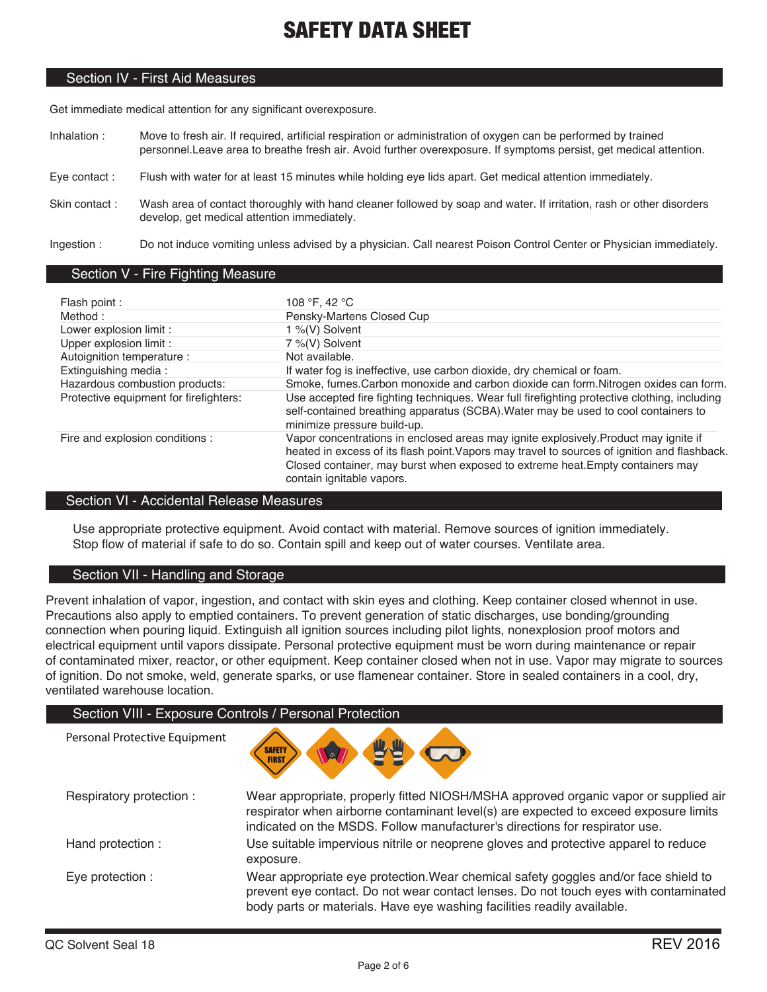### Section IV - First Aid Measures

Get immediate medical attention for any significant overexposure.

- Inhalation : Move to fresh air. If required, artificial respiration or administration of oxygen can be performed by trained personnel.Leave area to breathe fresh air. Avoid further overexposure. If symptoms persist, get medical attention.
- Eye contact : Flush with water for at least 15 minutes while holding eye lids apart. Get medical attention immediately.
- Skin contact : Wash area of contact thoroughly with hand cleaner followed by soap and water. If irritation, rash or other disorders develop, get medical attention immediately.

Ingestion : Do not induce vomiting unless advised by a physician. Call nearest Poison Control Center or Physician immediately.

### Section V - Fire Fighting Measure

| Flash point :                          | 108 °F, 42 °C                                                                                                                                                                                                                                                                                       |
|----------------------------------------|-----------------------------------------------------------------------------------------------------------------------------------------------------------------------------------------------------------------------------------------------------------------------------------------------------|
| Method:                                | Pensky-Martens Closed Cup                                                                                                                                                                                                                                                                           |
| Lower explosion limit :                | 1 %(V) Solvent                                                                                                                                                                                                                                                                                      |
| Upper explosion limit :                | 7 %(V) Solvent                                                                                                                                                                                                                                                                                      |
| Autoignition temperature :             | Not available.                                                                                                                                                                                                                                                                                      |
| Extinguishing media:                   | If water fog is ineffective, use carbon dioxide, dry chemical or foam.                                                                                                                                                                                                                              |
| Hazardous combustion products:         | Smoke, fumes. Carbon monoxide and carbon dioxide can form. Nitrogen oxides can form.                                                                                                                                                                                                                |
| Protective equipment for firefighters: | Use accepted fire fighting techniques. Wear full firefighting protective clothing, including<br>self-contained breathing apparatus (SCBA). Water may be used to cool containers to<br>minimize pressure build-up.                                                                                   |
| Fire and explosion conditions :        | Vapor concentrations in enclosed areas may ignite explosively. Product may ignite if<br>heated in excess of its flash point. Vapors may travel to sources of ignition and flashback.<br>Closed container, may burst when exposed to extreme heat. Empty containers may<br>contain ignitable vapors. |

### Section VI - Accidental Release Measures

Use appropriate protective equipment. Avoid contact with material. Remove sources of ignition immediately. Stop flow of material if safe to do so. Contain spill and keep out of water courses. Ventilate area.

## Section VII - Handling and Storage

Prevent inhalation of vapor, ingestion, and contact with skin eyes and clothing. Keep container closed whennot in use. Precautions also apply to emptied containers. To prevent generation of static discharges, use bonding/grounding connection when pouring liquid. Extinguish all ignition sources including pilot lights, nonexplosion proof motors and electrical equipment until vapors dissipate. Personal protective equipment must be worn during maintenance or repair of contaminated mixer, reactor, or other equipment. Keep container closed when not in use. Vapor may migrate to sources of ignition. Do not smoke, weld, generate sparks, or use flamenear container. Store in sealed containers in a cool, dry, ventilated warehouse location.

|                               | Section VIII - Exposure Controls / Personal Protection                                                                                                                                                                                                     |
|-------------------------------|------------------------------------------------------------------------------------------------------------------------------------------------------------------------------------------------------------------------------------------------------------|
| Personal Protective Equipment | <b>SAFETY</b><br><b>Le</b>                                                                                                                                                                                                                                 |
| Respiratory protection:       | Wear appropriate, properly fitted NIOSH/MSHA approved organic vapor or supplied air<br>respirator when airborne contaminant level(s) are expected to exceed exposure limits<br>indicated on the MSDS. Follow manufacturer's directions for respirator use. |
| Hand protection:              | Use suitable impervious nitrile or neoprene gloves and protective apparel to reduce<br>exposure.                                                                                                                                                           |
| Eye protection :              | Wear appropriate eye protection. Wear chemical safety goggles and/or face shield to<br>prevent eye contact. Do not wear contact lenses. Do not touch eyes with contaminated<br>body parts or materials. Have eye washing facilities readily available.     |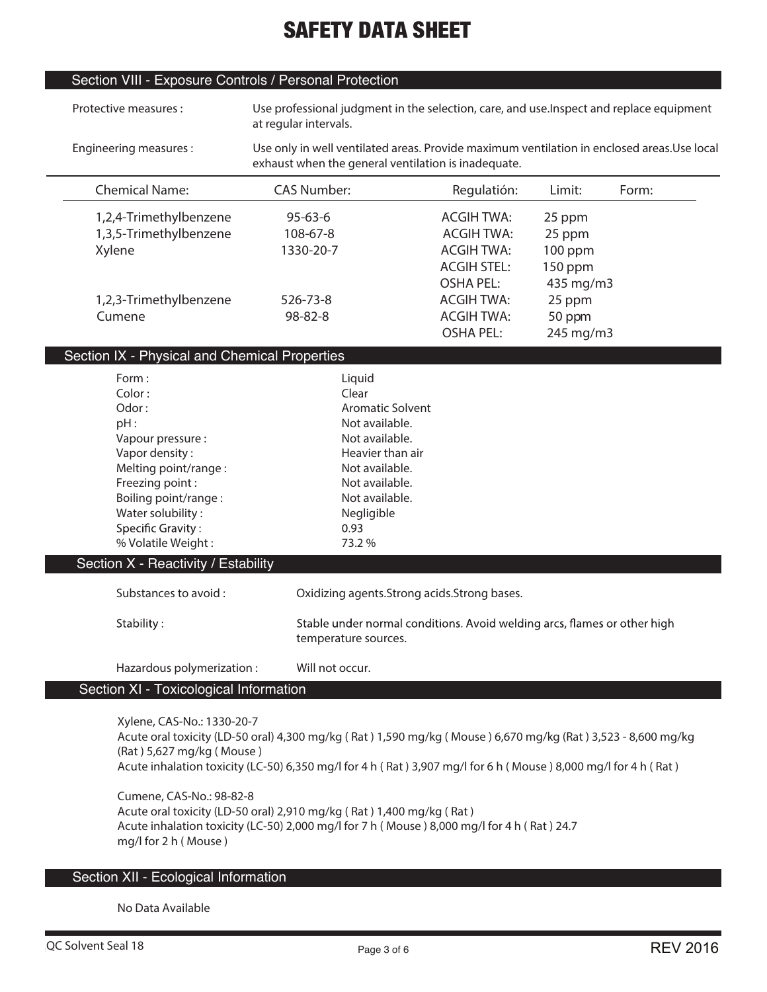## Section VIII - Exposure Controls / Personal Protection

| Protective measures:                                                                                                                                                                                                                             | Use professional judgment in the selection, care, and use. Inspect and replace equipment<br>at regular intervals.                                                                                                              |                                                                                   |                                            |       |  |
|--------------------------------------------------------------------------------------------------------------------------------------------------------------------------------------------------------------------------------------------------|--------------------------------------------------------------------------------------------------------------------------------------------------------------------------------------------------------------------------------|-----------------------------------------------------------------------------------|--------------------------------------------|-------|--|
| Engineering measures:                                                                                                                                                                                                                            | Use only in well ventilated areas. Provide maximum ventilation in enclosed areas. Use local<br>exhaust when the general ventilation is inadequate.                                                                             |                                                                                   |                                            |       |  |
| <b>Chemical Name:</b>                                                                                                                                                                                                                            | <b>CAS Number:</b>                                                                                                                                                                                                             | Regulatión:                                                                       | Limit:                                     | Form: |  |
| 1,2,4-Trimethylbenzene<br>1,3,5-Trimethylbenzene<br>Xylene                                                                                                                                                                                       | $95 - 63 - 6$<br>108-67-8<br>1330-20-7                                                                                                                                                                                         | <b>ACGIH TWA:</b><br><b>ACGIH TWA:</b><br><b>ACGIH TWA:</b><br><b>ACGIH STEL:</b> | 25 ppm<br>25 ppm<br>100 ppm<br>150 ppm     |       |  |
| 1,2,3-Trimethylbenzene<br>Cumene                                                                                                                                                                                                                 | 526-73-8<br>98-82-8                                                                                                                                                                                                            | <b>OSHA PEL:</b><br><b>ACGIH TWA:</b><br><b>ACGIH TWA:</b><br><b>OSHA PEL:</b>    | 435 mg/m3<br>25 ppm<br>50 ppm<br>245 mg/m3 |       |  |
| Section IX - Physical and Chemical Properties                                                                                                                                                                                                    |                                                                                                                                                                                                                                |                                                                                   |                                            |       |  |
| Form:<br>Color:<br>Odor:<br>pH:<br>Vapour pressure :<br>Vapor density:<br>Melting point/range:<br>Freezing point:<br>Boiling point/range:<br>Water solubility:<br>Specific Gravity:<br>% Volatile Weight:<br>Section X - Reactivity / Estability | Liquid<br>Clear<br><b>Aromatic Solvent</b><br>Not available.<br>Not available.<br>Heavier than air<br>Not available.<br>Not available.<br>Not available.<br>Negligible<br>0.93<br>73.2 %                                       |                                                                                   |                                            |       |  |
| Substances to avoid:                                                                                                                                                                                                                             | Oxidizing agents.Strong acids.Strong bases.                                                                                                                                                                                    |                                                                                   |                                            |       |  |
| Stability:                                                                                                                                                                                                                                       | Stable under normal conditions. Avoid welding arcs, flames or other high<br>temperature sources.                                                                                                                               |                                                                                   |                                            |       |  |
| Hazardous polymerization:<br>Section XI - Toxicological Information                                                                                                                                                                              | Will not occur.                                                                                                                                                                                                                |                                                                                   |                                            |       |  |
| Xylene, CAS-No.: 1330-20-7<br>(Rat) 5,627 mg/kg (Mouse)                                                                                                                                                                                          | Acute oral toxicity (LD-50 oral) 4,300 mg/kg (Rat) 1,590 mg/kg (Mouse) 6,670 mg/kg (Rat) 3,523 - 8,600 mg/kg<br>Acute inhalation toxicity (LC-50) 6,350 mg/l for 4 h (Rat) 3,907 mg/l for 6 h (Mouse) 8,000 mg/l for 4 h (Rat) |                                                                                   |                                            |       |  |

**Cumene, CAS-No.: 98-82-8 Acute oral toxicity (LD-50 oral) 2,910 mg/kg ( Rat ) 1,400 mg/kg ( Rat ) Acute inhalation toxicity (LC-50) 2,000 mg/l for 7 h ( Mouse ) 8,000 mg/l for 4 h ( Rat ) 24.7 mg/l for 2 h ( Mouse )**

## Section XII - Ecological Information

**No Data Available**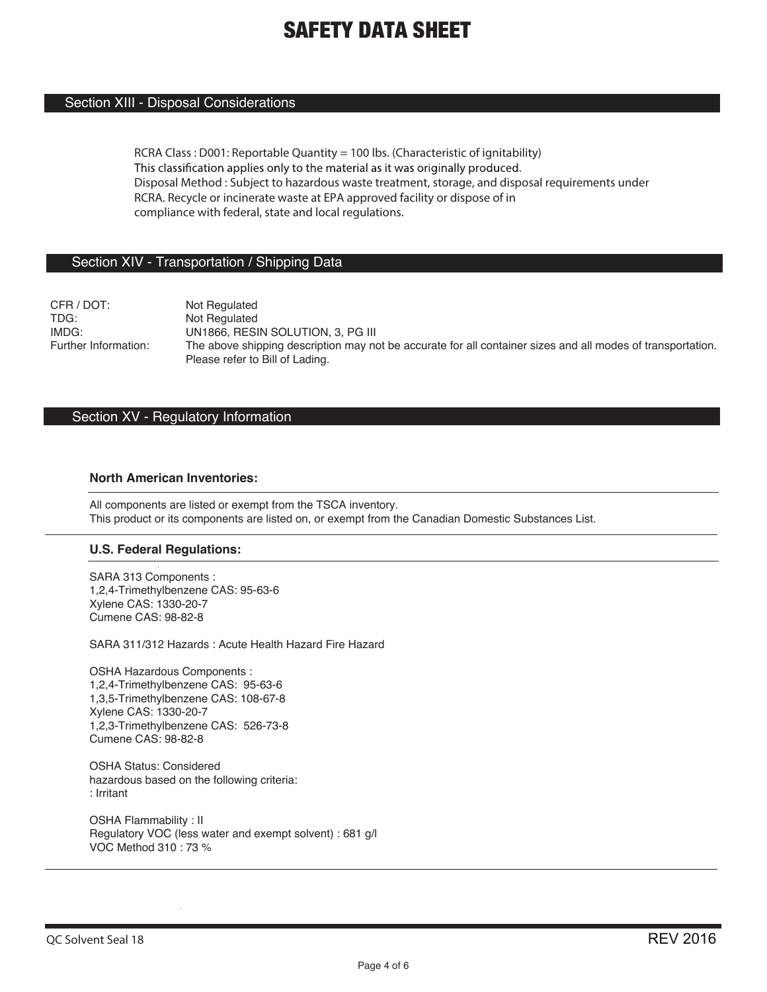### Section XIII - Disposal Considerations

**RCRA Class : D001: Reportable Quantity = 100 lbs. (Characteristic of ignitability)** This classification applies only to the material as it was originally produced. **Disposal Method : Subject to hazardous waste treatment, storage, and disposal requirements under RCRA. Recycle or incinerate waste at EPA approved facility or dispose of in compliance with federal, state and local regulations.**

### Section XIV - Transportation / Shipping Data

CFR / DOT: Not Regulated<br>TDG: Not Regulated TDG: Not Regulated<br>
IMDG: UN1866 RFSI IMDG: UN1866, RESIN SOLUTION, 3, PG III<br>
Further Information: The above shipping description may no The above shipping description may not be accurate for all container sizes and all modes of transportation. Please refer to Bill of Lading.

### Section XV - Regulatory Information

### **North American Inventories:**

All components are listed or exempt from the TSCA inventory. This product or its components are listed on, or exempt from the Canadian Domestic Substances List.

### **U.S. Federal Regulations:**

SARA 313 Components : 1,2,4-Trimethylbenzene CAS: 95-63-6 Xylene CAS: 1330-20-7 Cumene CAS: 98-82-8

SARA 311/312 Hazards : Acute Health Hazard Fire Hazard

OSHA Hazardous Components : 1,2,4-Trimethylbenzene CAS: 95-63-6 1,3,5-Trimethylbenzene CAS: 108-67-8 Xylene CAS: 1330-20-7 1,2,3-Trimethylbenzene CAS: 526-73-8 Cumene CAS: 98-82-8

OSHA Status: Considered hazardous based on the following criteria: : Irritant

OSHA Flammability : II Regulatory VOC (less water and exempt solvent) : 681 g/l VOC Method 310 : 73 %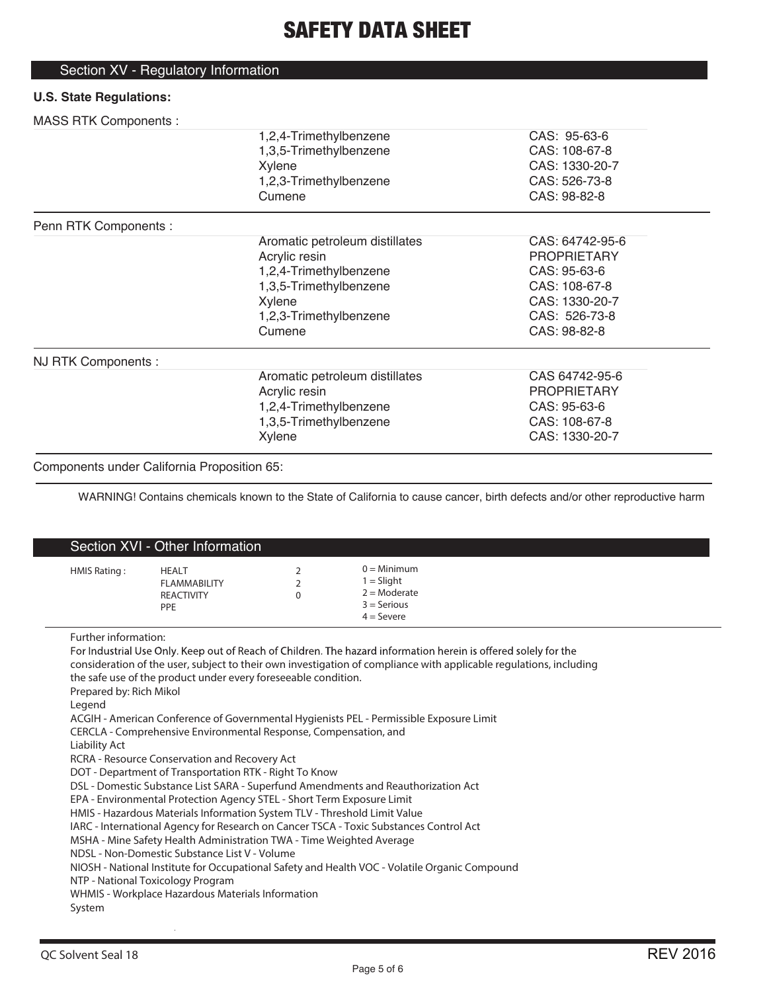# Section XV - Regulatory Information

## **U.S. State Regulations:**

## MASS RTK Components :

| 1                     |                                |                    |  |
|-----------------------|--------------------------------|--------------------|--|
|                       | 1,2,4-Trimethylbenzene         | CAS: 95-63-6       |  |
|                       | 1,3,5-Trimethylbenzene         | CAS: 108-67-8      |  |
|                       | Xylene                         | CAS: 1330-20-7     |  |
|                       | 1,2,3-Trimethylbenzene         | CAS: 526-73-8      |  |
|                       | Cumene                         | CAS: 98-82-8       |  |
| Penn RTK Components : |                                |                    |  |
|                       | Aromatic petroleum distillates | CAS: 64742-95-6    |  |
|                       | Acrylic resin                  | <b>PROPRIETARY</b> |  |
|                       | 1,2,4-Trimethylbenzene         | CAS: 95-63-6       |  |
|                       | 1,3,5-Trimethylbenzene         | CAS: 108-67-8      |  |
|                       | Xylene                         | CAS: 1330-20-7     |  |
|                       | 1,2,3-Trimethylbenzene         | CAS: 526-73-8      |  |
|                       | Cumene                         | CAS: 98-82-8       |  |
| NJ RTK Components :   |                                |                    |  |
|                       | Aromatic petroleum distillates | CAS 64742-95-6     |  |
|                       | Acrylic resin                  | <b>PROPRIETARY</b> |  |
|                       | 1,2,4-Trimethylbenzene         | CAS: 95-63-6       |  |
|                       | 1,3,5-Trimethylbenzene         | CAS: 108-67-8      |  |
|                       | Xylene                         | CAS: 1330-20-7     |  |
|                       |                                |                    |  |

### Components under California Proposition 65:

WARNING! Contains chemicals known to the State of California to cause cancer, birth defects and/or other reproductive harm

|                  | Section XVI - Other Information                                  |                                                                                                                                                                                                                                                                                                                                                                                                                                                                                                                                                                                                                                                                                                                                                                                                        |                                 |                                                                                                                                                                                                                                                                                                                                                                                                                                   |  |  |
|------------------|------------------------------------------------------------------|--------------------------------------------------------------------------------------------------------------------------------------------------------------------------------------------------------------------------------------------------------------------------------------------------------------------------------------------------------------------------------------------------------------------------------------------------------------------------------------------------------------------------------------------------------------------------------------------------------------------------------------------------------------------------------------------------------------------------------------------------------------------------------------------------------|---------------------------------|-----------------------------------------------------------------------------------------------------------------------------------------------------------------------------------------------------------------------------------------------------------------------------------------------------------------------------------------------------------------------------------------------------------------------------------|--|--|
|                  | HMIS Rating:                                                     | <b>HEALT</b><br><b>FLAMMABILITY</b><br><b>REACTIVITY</b><br>PPE                                                                                                                                                                                                                                                                                                                                                                                                                                                                                                                                                                                                                                                                                                                                        | 2<br>$\overline{2}$<br>$\Omega$ | $0 =$ Minimum<br>$1 =$ Slight<br>$2 =$ Moderate<br>$3 =$ Serious<br>$4 =$ Severe                                                                                                                                                                                                                                                                                                                                                  |  |  |
| Legend<br>System | Further information:<br>Prepared by: Rich Mikol<br>Liability Act | the safe use of the product under every foreseeable condition.<br>CERCLA - Comprehensive Environmental Response, Compensation, and<br>RCRA - Resource Conservation and Recovery Act<br>DOT - Department of Transportation RTK - Right To Know<br>DSL - Domestic Substance List SARA - Superfund Amendments and Reauthorization Act<br>EPA - Environmental Protection Agency STEL - Short Term Exposure Limit<br>HMIS - Hazardous Materials Information System TLV - Threshold Limit Value<br>IARC - International Agency for Research on Cancer TSCA - Toxic Substances Control Act<br>MSHA - Mine Safety Health Administration TWA - Time Weighted Average<br>NDSL - Non-Domestic Substance List V - Volume<br>NTP - National Toxicology Program<br>WHMIS - Workplace Hazardous Materials Information |                                 | For Industrial Use Only. Keep out of Reach of Children. The hazard information herein is offered solely for the<br>consideration of the user, subject to their own investigation of compliance with applicable regulations, including<br>ACGIH - American Conference of Governmental Hygienists PEL - Permissible Exposure Limit<br>NIOSH - National Institute for Occupational Safety and Health VOC - Volatile Organic Compound |  |  |